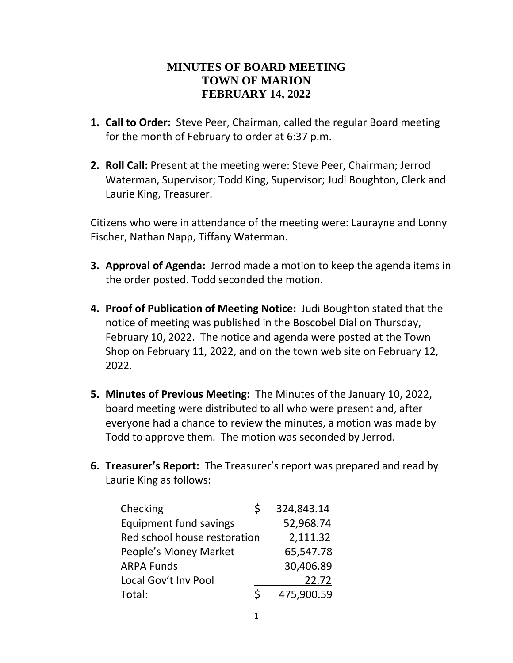## **MINUTES OF BOARD MEETING TOWN OF MARION FEBRUARY 14, 2022**

- **1. Call to Order:** Steve Peer, Chairman, called the regular Board meeting for the month of February to order at 6:37 p.m.
- **2. Roll Call:** Present at the meeting were: Steve Peer, Chairman; Jerrod Waterman, Supervisor; Todd King, Supervisor; Judi Boughton, Clerk and Laurie King, Treasurer.

Citizens who were in attendance of the meeting were: Laurayne and Lonny Fischer, Nathan Napp, Tiffany Waterman.

- **3. Approval of Agenda:** Jerrod made a motion to keep the agenda items in the order posted. Todd seconded the motion.
- **4. Proof of Publication of Meeting Notice:** Judi Boughton stated that the notice of meeting was published in the Boscobel Dial on Thursday, February 10, 2022. The notice and agenda were posted at the Town Shop on February 11, 2022, and on the town web site on February 12, 2022.
- **5. Minutes of Previous Meeting:** The Minutes of the January 10, 2022, board meeting were distributed to all who were present and, after everyone had a chance to review the minutes, a motion was made by Todd to approve them. The motion was seconded by Jerrod.
- **6. Treasurer's Report:** The Treasurer's report was prepared and read by Laurie King as follows:

| Checking                     | S       | 324,843.14 |
|------------------------------|---------|------------|
| Equipment fund savings       |         | 52,968.74  |
| Red school house restoration |         | 2,111.32   |
| People's Money Market        |         | 65,547.78  |
| <b>ARPA Funds</b>            |         | 30,406.89  |
| Local Gov't Inv Pool         |         | 22.72      |
| Total:                       | $\zeta$ | 475,900.59 |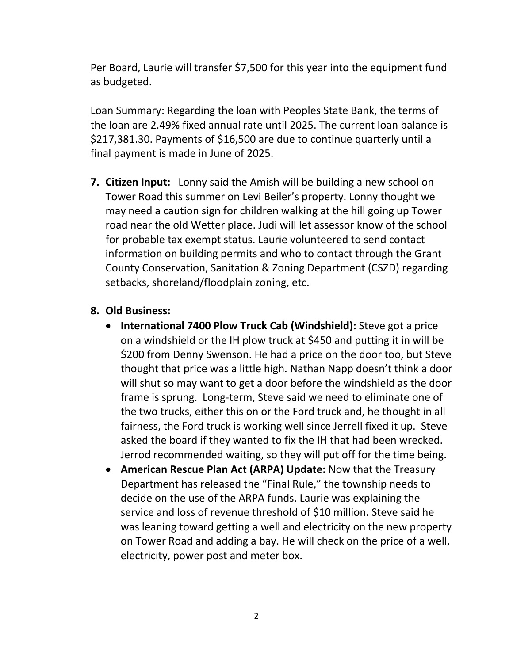Per Board, Laurie will transfer \$7,500 for this year into the equipment fund as budgeted.

Loan Summary: Regarding the loan with Peoples State Bank, the terms of the loan are 2.49% fixed annual rate until 2025. The current loan balance is \$217,381.30. Payments of \$16,500 are due to continue quarterly until a final payment is made in June of 2025.

**7. Citizen Input:** Lonny said the Amish will be building a new school on Tower Road this summer on Levi Beiler's property. Lonny thought we may need a caution sign for children walking at the hill going up Tower road near the old Wetter place. Judi will let assessor know of the school for probable tax exempt status. Laurie volunteered to send contact information on building permits and who to contact through the Grant County Conservation, Sanitation & Zoning Department (CSZD) regarding setbacks, shoreland/floodplain zoning, etc.

## **8. Old Business:**

- **International 7400 Plow Truck Cab (Windshield):** Steve got a price on a windshield or the IH plow truck at \$450 and putting it in will be \$200 from Denny Swenson. He had a price on the door too, but Steve thought that price was a little high. Nathan Napp doesn't think a door will shut so may want to get a door before the windshield as the door frame is sprung. Long-term, Steve said we need to eliminate one of the two trucks, either this on or the Ford truck and, he thought in all fairness, the Ford truck is working well since Jerrell fixed it up. Steve asked the board if they wanted to fix the IH that had been wrecked. Jerrod recommended waiting, so they will put off for the time being.
- **American Rescue Plan Act (ARPA) Update:** Now that the Treasury Department has released the "Final Rule," the township needs to decide on the use of the ARPA funds. Laurie was explaining the service and loss of revenue threshold of \$10 million. Steve said he was leaning toward getting a well and electricity on the new property on Tower Road and adding a bay. He will check on the price of a well, electricity, power post and meter box.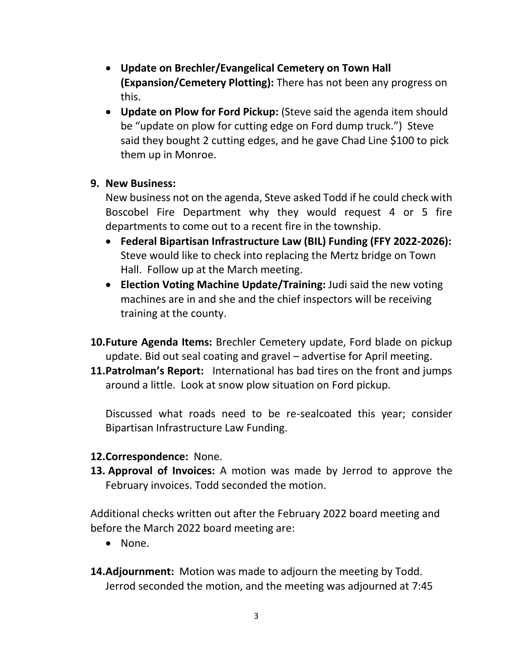- **Update on Brechler/Evangelical Cemetery on Town Hall (Expansion/Cemetery Plotting):** There has not been any progress on this.
- **Update on Plow for Ford Pickup:** (Steve said the agenda item should be "update on plow for cutting edge on Ford dump truck.") Steve said they bought 2 cutting edges, and he gave Chad Line \$100 to pick them up in Monroe.

## **9. New Business:**

New business not on the agenda, Steve asked Todd if he could check with Boscobel Fire Department why they would request 4 or 5 fire departments to come out to a recent fire in the township.

- **Federal Bipartisan Infrastructure Law (BIL) Funding (FFY 2022-2026):**  Steve would like to check into replacing the Mertz bridge on Town Hall. Follow up at the March meeting.
- **Election Voting Machine Update/Training:** Judi said the new voting machines are in and she and the chief inspectors will be receiving training at the county.
- **10.Future Agenda Items:** Brechler Cemetery update, Ford blade on pickup update. Bid out seal coating and gravel – advertise for April meeting.
- **11.Patrolman's Report:** International has bad tires on the front and jumps around a little. Look at snow plow situation on Ford pickup.

Discussed what roads need to be re-sealcoated this year; consider Bipartisan Infrastructure Law Funding.

- **12.Correspondence:** None.
- **13. Approval of Invoices:** A motion was made by Jerrod to approve the February invoices. Todd seconded the motion.

Additional checks written out after the February 2022 board meeting and before the March 2022 board meeting are:

- None.
- **14.Adjournment:** Motion was made to adjourn the meeting by Todd. Jerrod seconded the motion, and the meeting was adjourned at 7:45